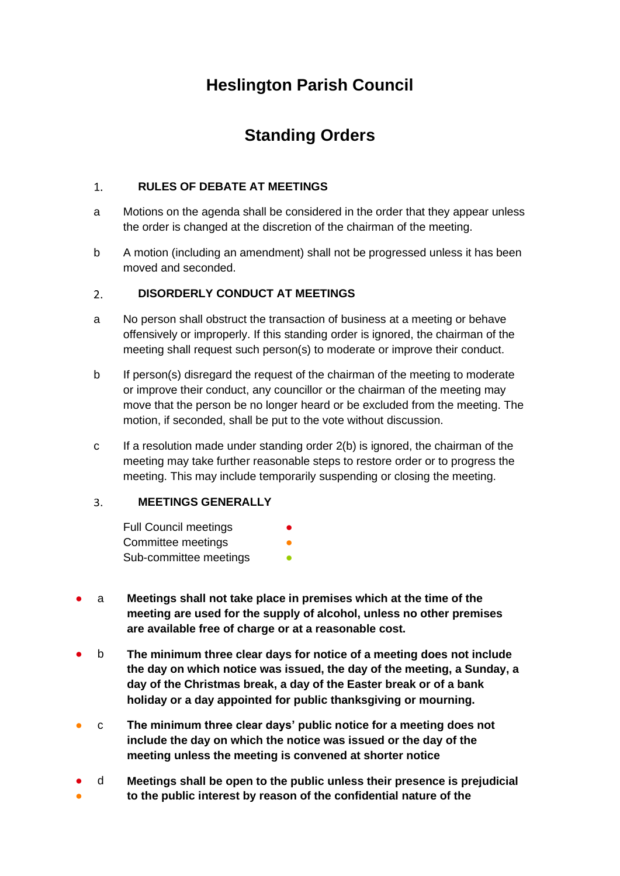# **Heslington Parish Council**

# **Standing Orders**

# $1.$ **RULES OF DEBATE AT MEETINGS**

- a Motions on the agenda shall be considered in the order that they appear unless the order is changed at the discretion of the chairman of the meeting.
- b A motion (including an amendment) shall not be progressed unless it has been moved and seconded.

# **DISORDERLY CONDUCT AT MEETINGS**  $2<sub>1</sub>$

- a No person shall obstruct the transaction of business at a meeting or behave offensively or improperly. If this standing order is ignored, the chairman of the meeting shall request such person(s) to moderate or improve their conduct.
- b If person(s) disregard the request of the chairman of the meeting to moderate or improve their conduct, any councillor or the chairman of the meeting may move that the person be no longer heard or be excluded from the meeting. The motion, if seconded, shall be put to the vote without discussion.
- c If a resolution made under standing order 2(b) is ignored, the chairman of the meeting may take further reasonable steps to restore order or to progress the meeting. This may include temporarily suspending or closing the meeting.

# $\overline{3}$ . **MEETINGS GENERALLY**

| <b>Full Council meetings</b> | $\bullet$ |
|------------------------------|-----------|
| Committee meetings           | O         |
| Sub-committee meetings       | ●         |

- a **Meetings shall not take place in premises which at the time of the meeting are used for the supply of alcohol, unless no other premises are available free of charge or at a reasonable cost.**
- b **The minimum three clear days for notice of a meeting does not include the day on which notice was issued, the day of the meeting, a Sunday, a day of the Christmas break, a day of the Easter break or of a bank holiday or a day appointed for public thanksgiving or mourning.**
- c **The minimum three clear days' public notice for a meeting does not include the day on which the notice was issued or the day of the meeting unless the meeting is convened at shorter notice**
- ● d **Meetings shall be open to the public unless their presence is prejudicial to the public interest by reason of the confidential nature of the**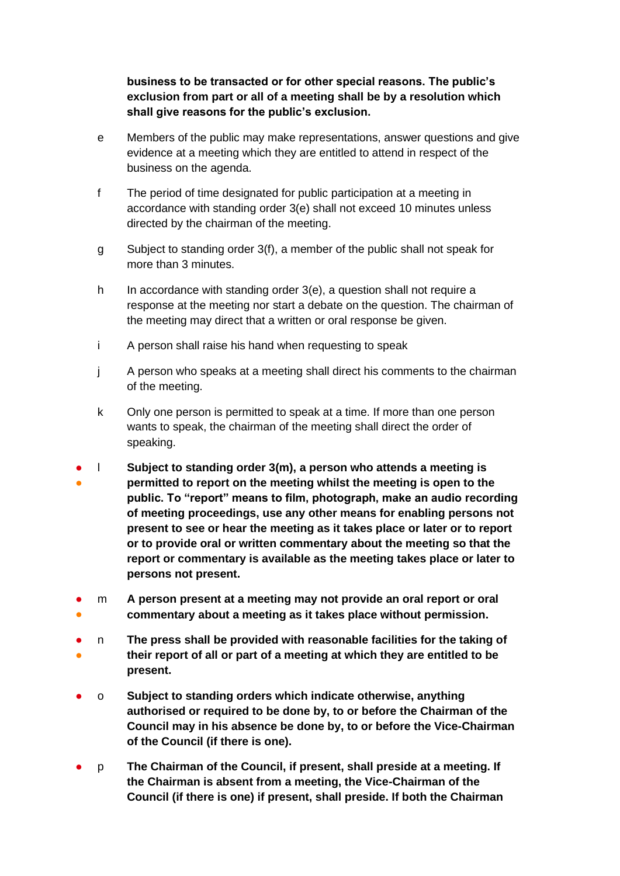**business to be transacted or for other special reasons. The public's exclusion from part or all of a meeting shall be by a resolution which shall give reasons for the public's exclusion.**

- e Members of the public may make representations, answer questions and give evidence at a meeting which they are entitled to attend in respect of the business on the agenda.
- f The period of time designated for public participation at a meeting in accordance with standing order 3(e) shall not exceed 10 minutes unless directed by the chairman of the meeting.
- g Subject to standing order 3(f), a member of the public shall not speak for more than 3 minutes.
- h In accordance with standing order 3(e), a question shall not require a response at the meeting nor start a debate on the question. The chairman of the meeting may direct that a written or oral response be given.
- i A person shall raise his hand when requesting to speak
- j A person who speaks at a meeting shall direct his comments to the chairman of the meeting.
- k Only one person is permitted to speak at a time. If more than one person wants to speak, the chairman of the meeting shall direct the order of speaking.
- ● l **Subject to standing order 3(m), a person who attends a meeting is permitted to report on the meeting whilst the meeting is open to the public. To "report" means to film, photograph, make an audio recording of meeting proceedings, use any other means for enabling persons not present to see or hear the meeting as it takes place or later or to report or to provide oral or written commentary about the meeting so that the report or commentary is available as the meeting takes place or later to persons not present.**
- ● m **A person present at a meeting may not provide an oral report or oral commentary about a meeting as it takes place without permission.**
- ● n **The press shall be provided with reasonable facilities for the taking of their report of all or part of a meeting at which they are entitled to be present.**
- o **Subject to standing orders which indicate otherwise, anything authorised or required to be done by, to or before the Chairman of the Council may in his absence be done by, to or before the Vice-Chairman of the Council (if there is one).**
- p **The Chairman of the Council, if present, shall preside at a meeting. If the Chairman is absent from a meeting, the Vice-Chairman of the Council (if there is one) if present, shall preside. If both the Chairman**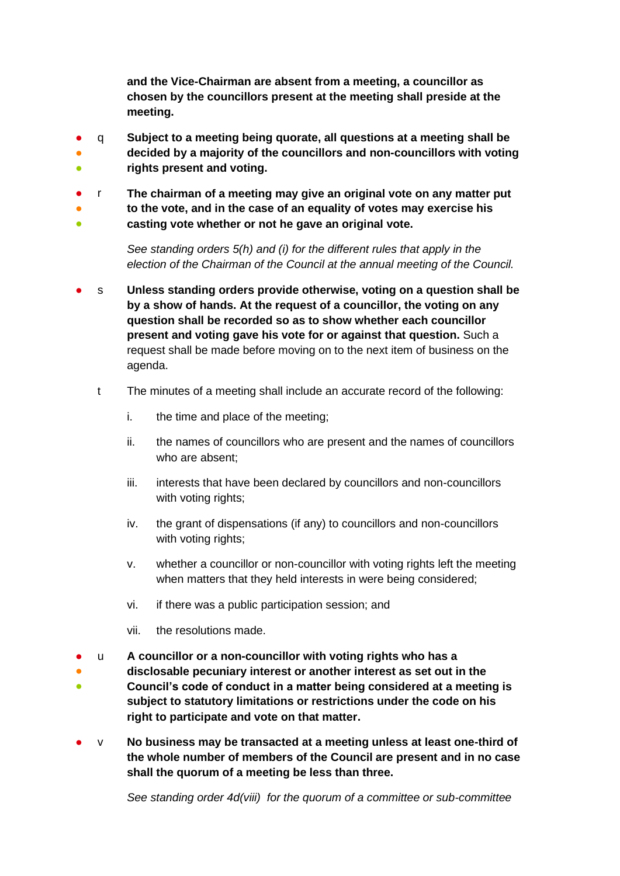**and the Vice-Chairman are absent from a meeting, a councillor as chosen by the councillors present at the meeting shall preside at the meeting.**

- ● q **Subject to a meeting being quorate, all questions at a meeting shall be decided by a majority of the councillors and non-councillors with voting**
- **rights present and voting.**
- r **The chairman of a meeting may give an original vote on any matter put**
- **to the vote, and in the case of an equality of votes may exercise his**
- **casting vote whether or not he gave an original vote.**

*See standing orders 5(h) and (i) for the different rules that apply in the election of the Chairman of the Council at the annual meeting of the Council.*

- s Unless standing orders provide otherwise, voting on a question shall be **by a show of hands. At the request of a councillor, the voting on any question shall be recorded so as to show whether each councillor present and voting gave his vote for or against that question.** Such a request shall be made before moving on to the next item of business on the agenda.
	- t The minutes of a meeting shall include an accurate record of the following:
		- i. the time and place of the meeting;
		- ii. the names of councillors who are present and the names of councillors who are absent;
		- iii. interests that have been declared by councillors and non-councillors with voting rights;
		- iv. the grant of dispensations (if any) to councillors and non-councillors with voting rights;
		- v. whether a councillor or non-councillor with voting rights left the meeting when matters that they held interests in were being considered;
		- vi. if there was a public participation session; and
		- vii. the resolutions made.
- u **A councillor or a non-councillor with voting rights who has a**
- **disclosable pecuniary interest or another interest as set out in the**
- **Council's code of conduct in a matter being considered at a meeting is subject to statutory limitations or restrictions under the code on his right to participate and vote on that matter.**
- v **No business may be transacted at a meeting unless at least one-third of the whole number of members of the Council are present and in no case shall the quorum of a meeting be less than three.**

*See standing order 4d(viii) for the quorum of a committee or sub-committee*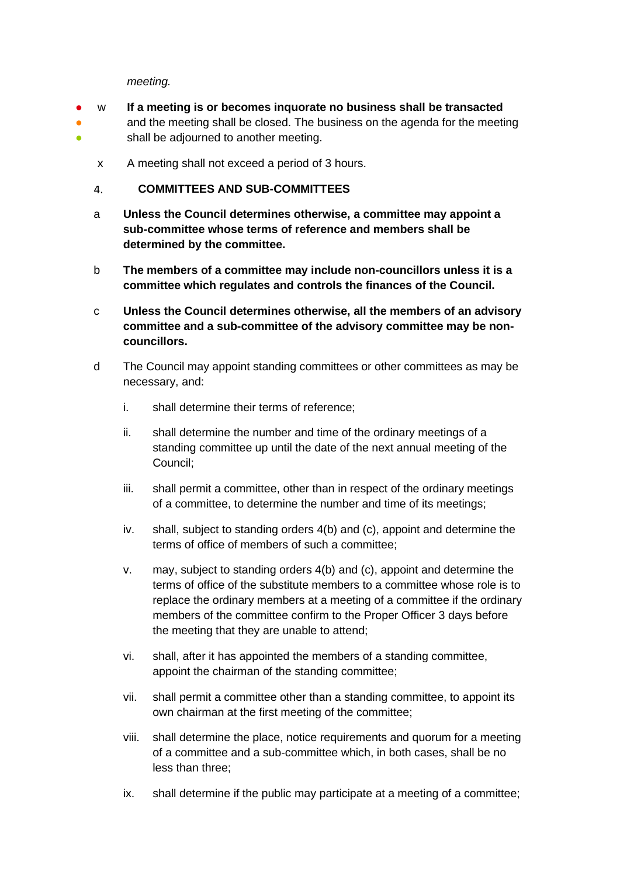*meeting.* 

- w **If a meeting is or becomes inquorate no business shall be transacted**
- ● and the meeting shall be closed. The business on the agenda for the meeting shall be adjourned to another meeting.
	- x A meeting shall not exceed a period of 3 hours.
	- $\overline{4}$ . **COMMITTEES AND SUB-COMMITTEES**
	- a **Unless the Council determines otherwise, a committee may appoint a sub-committee whose terms of reference and members shall be determined by the committee.**
	- b **The members of a committee may include non-councillors unless it is a committee which regulates and controls the finances of the Council.**
	- c **Unless the Council determines otherwise, all the members of an advisory committee and a sub-committee of the advisory committee may be noncouncillors.**
	- d The Council may appoint standing committees or other committees as may be necessary, and:
		- i. shall determine their terms of reference;
		- ii. shall determine the number and time of the ordinary meetings of a standing committee up until the date of the next annual meeting of the Council;
		- iii. shall permit a committee, other than in respect of the ordinary meetings of a committee, to determine the number and time of its meetings;
		- iv. shall, subject to standing orders 4(b) and (c), appoint and determine the terms of office of members of such a committee;
		- v. may, subject to standing orders 4(b) and (c), appoint and determine the terms of office of the substitute members to a committee whose role is to replace the ordinary members at a meeting of a committee if the ordinary members of the committee confirm to the Proper Officer 3 days before the meeting that they are unable to attend;
		- vi. shall, after it has appointed the members of a standing committee, appoint the chairman of the standing committee;
		- vii. shall permit a committee other than a standing committee, to appoint its own chairman at the first meeting of the committee;
		- viii. shall determine the place, notice requirements and quorum for a meeting of a committee and a sub-committee which, in both cases, shall be no less than three;
		- ix. shall determine if the public may participate at a meeting of a committee;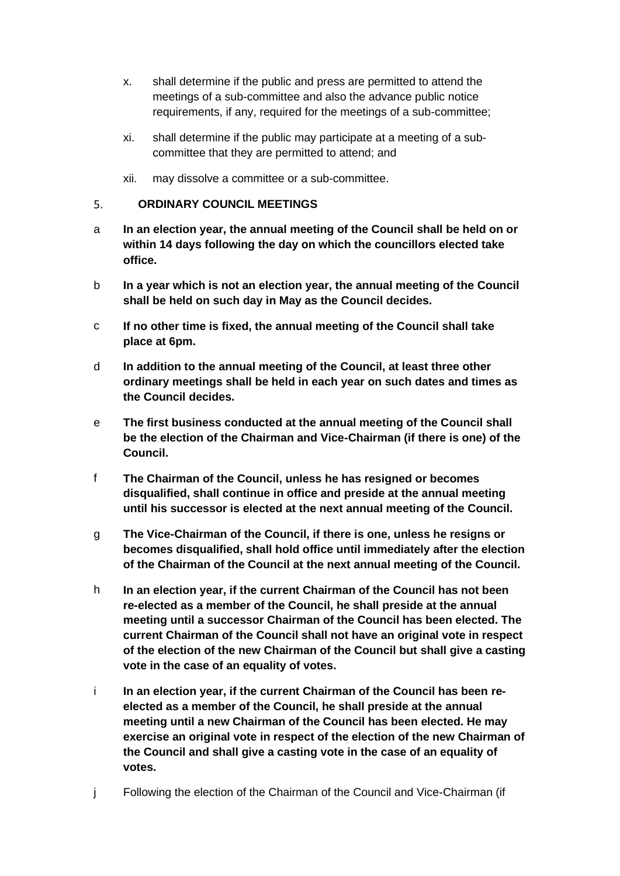- x. shall determine if the public and press are permitted to attend the meetings of a sub-committee and also the advance public notice requirements, if any, required for the meetings of a sub-committee;
- xi. shall determine if the public may participate at a meeting of a subcommittee that they are permitted to attend; and
- xii. may dissolve a committee or a sub-committee.

#### $5.$ **ORDINARY COUNCIL MEETINGS**

- a **In an election year, the annual meeting of the Council shall be held on or within 14 days following the day on which the councillors elected take office.**
- b **In a year which is not an election year, the annual meeting of the Council shall be held on such day in May as the Council decides.**
- c **If no other time is fixed, the annual meeting of the Council shall take place at 6pm.**
- d **In addition to the annual meeting of the Council, at least three other ordinary meetings shall be held in each year on such dates and times as the Council decides.**
- e **The first business conducted at the annual meeting of the Council shall be the election of the Chairman and Vice-Chairman (if there is one) of the Council.**
- f **The Chairman of the Council, unless he has resigned or becomes disqualified, shall continue in office and preside at the annual meeting until his successor is elected at the next annual meeting of the Council.**
- g **The Vice-Chairman of the Council, if there is one, unless he resigns or becomes disqualified, shall hold office until immediately after the election of the Chairman of the Council at the next annual meeting of the Council.**
- h **In an election year, if the current Chairman of the Council has not been re-elected as a member of the Council, he shall preside at the annual meeting until a successor Chairman of the Council has been elected. The current Chairman of the Council shall not have an original vote in respect of the election of the new Chairman of the Council but shall give a casting vote in the case of an equality of votes.**
- i **In an election year, if the current Chairman of the Council has been reelected as a member of the Council, he shall preside at the annual meeting until a new Chairman of the Council has been elected. He may exercise an original vote in respect of the election of the new Chairman of the Council and shall give a casting vote in the case of an equality of votes.**
- j Following the election of the Chairman of the Council and Vice-Chairman (if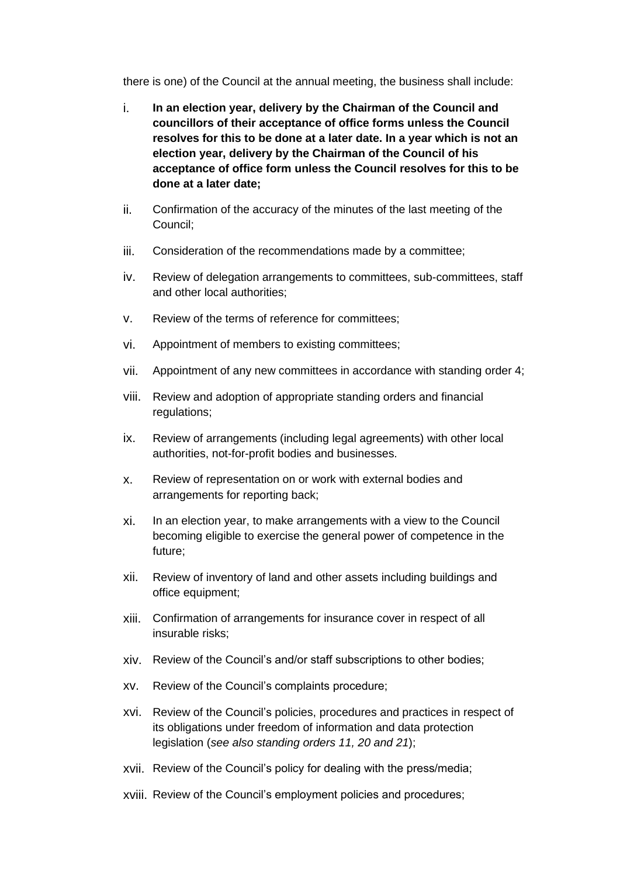there is one) of the Council at the annual meeting, the business shall include:

- i. **In an election year, delivery by the Chairman of the Council and councillors of their acceptance of office forms unless the Council resolves for this to be done at a later date. In a year which is not an election year, delivery by the Chairman of the Council of his acceptance of office form unless the Council resolves for this to be done at a later date;**
- ii. Confirmation of the accuracy of the minutes of the last meeting of the Council;
- iii. Consideration of the recommendations made by a committee;
- iv. Review of delegation arrangements to committees, sub-committees, staff and other local authorities;
- v. Review of the terms of reference for committees;
- vi. Appointment of members to existing committees;
- vii. Appointment of any new committees in accordance with standing order 4;
- viii. Review and adoption of appropriate standing orders and financial regulations;
- ix. Review of arrangements (including legal agreements) with other local authorities, not-for-profit bodies and businesses.
- x. Review of representation on or work with external bodies and arrangements for reporting back;
- xi. In an election year, to make arrangements with a view to the Council becoming eligible to exercise the general power of competence in the future;
- xii. Review of inventory of land and other assets including buildings and office equipment;
- xiii. Confirmation of arrangements for insurance cover in respect of all insurable risks;
- xiv. Review of the Council's and/or staff subscriptions to other bodies;
- xv. Review of the Council's complaints procedure;
- xvi. Review of the Council's policies, procedures and practices in respect of its obligations under freedom of information and data protection legislation (*see also standing orders 11, 20 and 21*);
- xvii. Review of the Council's policy for dealing with the press/media;
- xviii. Review of the Council's employment policies and procedures;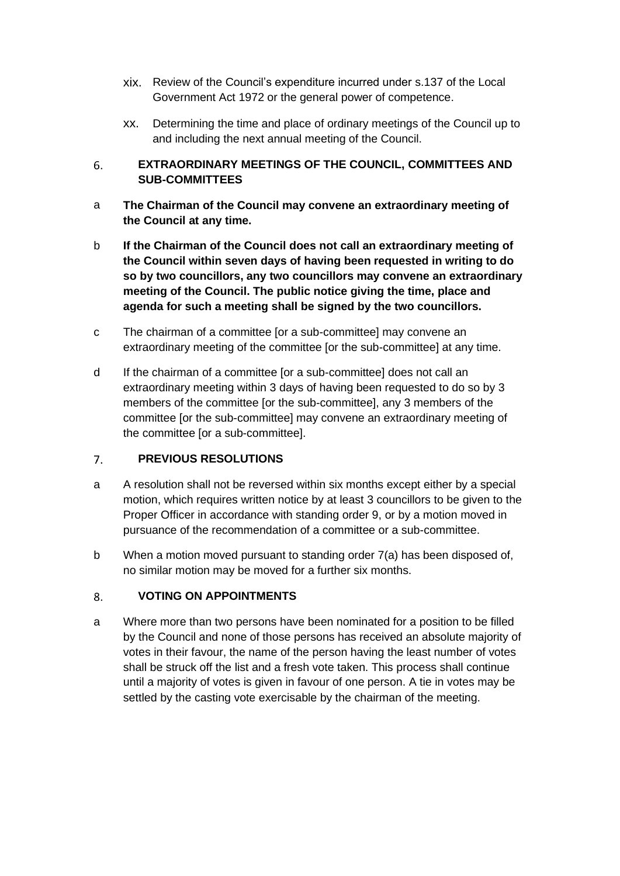- xix. Review of the Council's expenditure incurred under s.137 of the Local Government Act 1972 or the general power of competence.
- xx. Determining the time and place of ordinary meetings of the Council up to and including the next annual meeting of the Council.

# 6. **EXTRAORDINARY MEETINGS OF THE COUNCIL, COMMITTEES AND SUB-COMMITTEES**

- a **The Chairman of the Council may convene an extraordinary meeting of the Council at any time.**
- b **If the Chairman of the Council does not call an extraordinary meeting of the Council within seven days of having been requested in writing to do so by two councillors, any two councillors may convene an extraordinary meeting of the Council. The public notice giving the time, place and agenda for such a meeting shall be signed by the two councillors.**
- c The chairman of a committee [or a sub-committee] may convene an extraordinary meeting of the committee [or the sub-committee] at any time.
- d If the chairman of a committee [or a sub-committee] does not call an extraordinary meeting within 3 days of having been requested to do so by 3 members of the committee [or the sub-committee], any 3 members of the committee [or the sub-committee] may convene an extraordinary meeting of the committee [or a sub-committee].

# $7.$ **PREVIOUS RESOLUTIONS**

- a A resolution shall not be reversed within six months except either by a special motion, which requires written notice by at least 3 councillors to be given to the Proper Officer in accordance with standing order 9, or by a motion moved in pursuance of the recommendation of a committee or a sub-committee.
- b When a motion moved pursuant to standing order 7(a) has been disposed of, no similar motion may be moved for a further six months.

# $8<sub>1</sub>$ **VOTING ON APPOINTMENTS**

a Where more than two persons have been nominated for a position to be filled by the Council and none of those persons has received an absolute majority of votes in their favour, the name of the person having the least number of votes shall be struck off the list and a fresh vote taken. This process shall continue until a majority of votes is given in favour of one person. A tie in votes may be settled by the casting vote exercisable by the chairman of the meeting.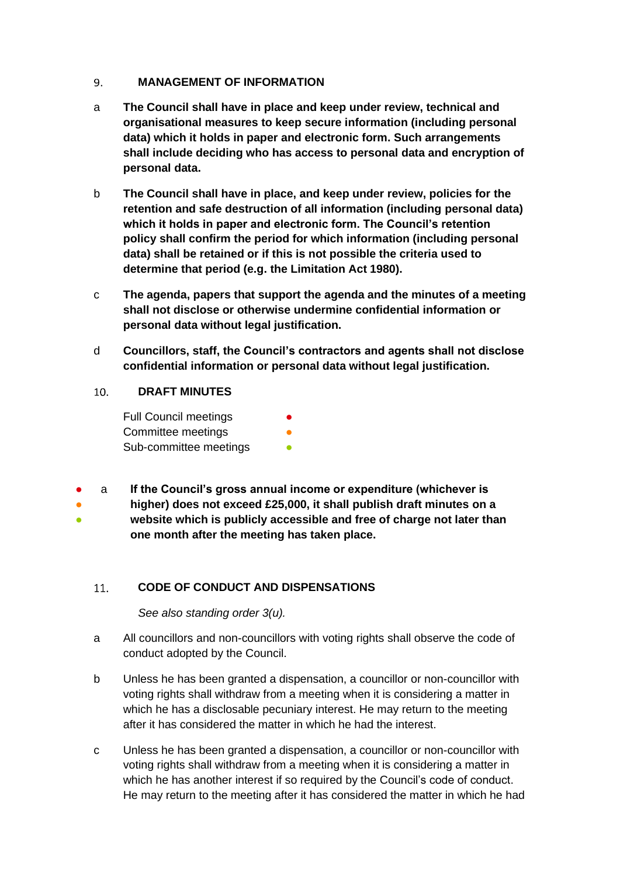#### 9. **MANAGEMENT OF INFORMATION**

- a **The Council shall have in place and keep under review, technical and organisational measures to keep secure information (including personal data) which it holds in paper and electronic form. Such arrangements shall include deciding who has access to personal data and encryption of personal data.**
- b **The Council shall have in place, and keep under review, policies for the retention and safe destruction of all information (including personal data) which it holds in paper and electronic form. The Council's retention policy shall confirm the period for which information (including personal data) shall be retained or if this is not possible the criteria used to determine that period (e.g. the Limitation Act 1980).**
- c **The agenda, papers that support the agenda and the minutes of a meeting shall not disclose or otherwise undermine confidential information or personal data without legal justification.**
- d **Councillors, staff, the Council's contractors and agents shall not disclose confidential information or personal data without legal justification.**

# $10.$ **DRAFT MINUTES**

| <b>Full Council meetings</b> |  |
|------------------------------|--|
| Committee meetings           |  |
| Sub-committee meetings       |  |

● a **If the Council's gross annual income or expenditure (whichever is** 

● ● **higher) does not exceed £25,000, it shall publish draft minutes on a website which is publicly accessible and free of charge not later than one month after the meeting has taken place.**

# $11.$ **CODE OF CONDUCT AND DISPENSATIONS**

*See also standing order 3(u).*

- a All councillors and non-councillors with voting rights shall observe the code of conduct adopted by the Council.
- b Unless he has been granted a dispensation, a councillor or non-councillor with voting rights shall withdraw from a meeting when it is considering a matter in which he has a disclosable pecuniary interest. He may return to the meeting after it has considered the matter in which he had the interest.
- c Unless he has been granted a dispensation, a councillor or non-councillor with voting rights shall withdraw from a meeting when it is considering a matter in which he has another interest if so required by the Council's code of conduct. He may return to the meeting after it has considered the matter in which he had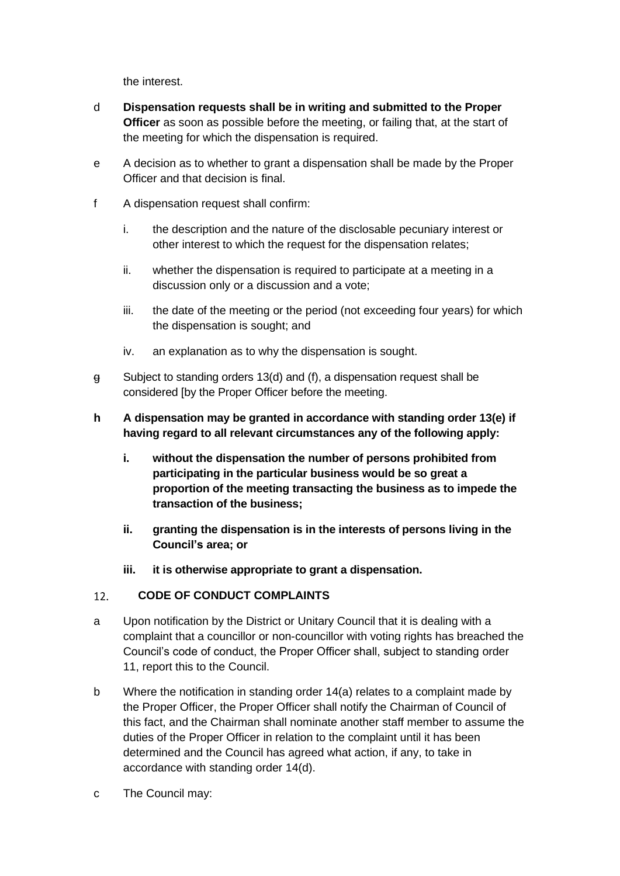the interest.

- d **Dispensation requests shall be in writing and submitted to the Proper Officer** as soon as possible before the meeting, or failing that, at the start of the meeting for which the dispensation is required.
- e A decision as to whether to grant a dispensation shall be made by the Proper Officer and that decision is final.
- f A dispensation request shall confirm:
	- i. the description and the nature of the disclosable pecuniary interest or other interest to which the request for the dispensation relates;
	- ii. whether the dispensation is required to participate at a meeting in a discussion only or a discussion and a vote;
	- iii. the date of the meeting or the period (not exceeding four years) for which the dispensation is sought; and
	- iv. an explanation as to why the dispensation is sought.
- $\theta$  Subject to standing orders 13(d) and (f), a dispensation request shall be considered [by the Proper Officer before the meeting.
- **h A dispensation may be granted in accordance with standing order 13(e) if having regard to all relevant circumstances any of the following apply:**
	- **i. without the dispensation the number of persons prohibited from participating in the particular business would be so great a proportion of the meeting transacting the business as to impede the transaction of the business;**
	- **ii. granting the dispensation is in the interests of persons living in the Council's area; or**
	- **iii. it is otherwise appropriate to grant a dispensation.**

# $12.$ **CODE OF CONDUCT COMPLAINTS**

- a Upon notification by the District or Unitary Council that it is dealing with a complaint that a councillor or non-councillor with voting rights has breached the Council's code of conduct, the Proper Officer shall, subject to standing order 11, report this to the Council.
- b Where the notification in standing order 14(a) relates to a complaint made by the Proper Officer, the Proper Officer shall notify the Chairman of Council of this fact, and the Chairman shall nominate another staff member to assume the duties of the Proper Officer in relation to the complaint until it has been determined and the Council has agreed what action, if any, to take in accordance with standing order 14(d).
- c The Council may: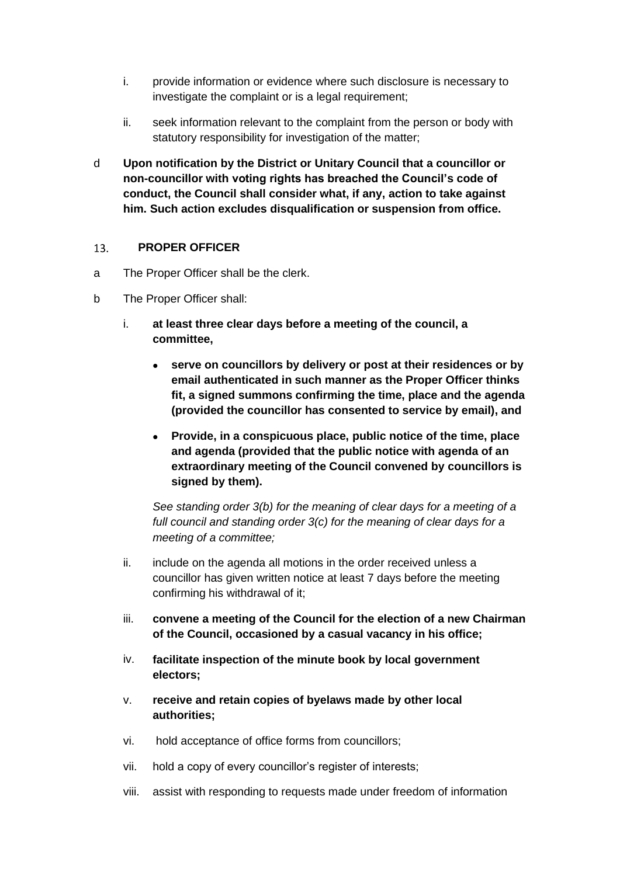- i. provide information or evidence where such disclosure is necessary to investigate the complaint or is a legal requirement;
- ii. seek information relevant to the complaint from the person or body with statutory responsibility for investigation of the matter;
- d **Upon notification by the District or Unitary Council that a councillor or non-councillor with voting rights has breached the Council's code of conduct, the Council shall consider what, if any, action to take against him. Such action excludes disqualification or suspension from office.**

#### $13.$ **PROPER OFFICER**

- a The Proper Officer shall be the clerk.
- b The Proper Officer shall:
	- i. **at least three clear days before a meeting of the council, a committee,**
		- **serve on councillors by delivery or post at their residences or by email authenticated in such manner as the Proper Officer thinks fit, a signed summons confirming the time, place and the agenda (provided the councillor has consented to service by email), and**
		- **Provide, in a conspicuous place, public notice of the time, place and agenda (provided that the public notice with agenda of an extraordinary meeting of the Council convened by councillors is signed by them).**

*See standing order 3(b) for the meaning of clear days for a meeting of a full council and standing order 3(c) for the meaning of clear days for a meeting of a committee;*

- ii. include on the agenda all motions in the order received unless a councillor has given written notice at least 7 days before the meeting confirming his withdrawal of it;
- iii. **convene a meeting of the Council for the election of a new Chairman of the Council, occasioned by a casual vacancy in his office;**
- iv. **facilitate inspection of the minute book by local government electors;**
- v. **receive and retain copies of byelaws made by other local authorities;**
- vi. hold acceptance of office forms from councillors;
- vii. hold a copy of every councillor's register of interests;
- viii. assist with responding to requests made under freedom of information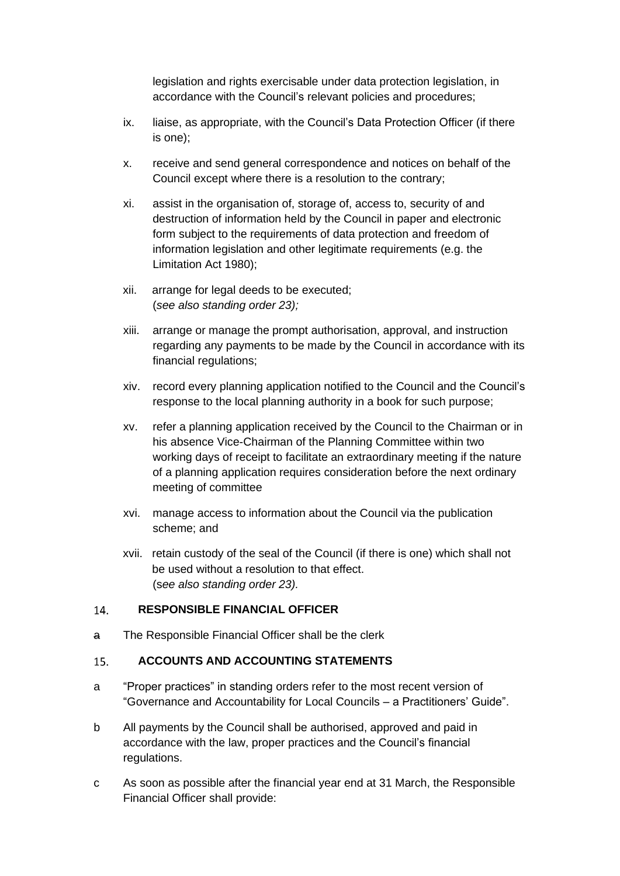legislation and rights exercisable under data protection legislation, in accordance with the Council's relevant policies and procedures;

- ix. liaise, as appropriate, with the Council's Data Protection Officer (if there is one);
- x. receive and send general correspondence and notices on behalf of the Council except where there is a resolution to the contrary;
- xi. assist in the organisation of, storage of, access to, security of and destruction of information held by the Council in paper and electronic form subject to the requirements of data protection and freedom of information legislation and other legitimate requirements (e.g. the Limitation Act 1980);
- xii. arrange for legal deeds to be executed; (*see also standing order 23);*
- xiii. arrange or manage the prompt authorisation, approval, and instruction regarding any payments to be made by the Council in accordance with its financial regulations;
- xiv. record every planning application notified to the Council and the Council's response to the local planning authority in a book for such purpose;
- xv. refer a planning application received by the Council to the Chairman or in his absence Vice-Chairman of the Planning Committee within two working days of receipt to facilitate an extraordinary meeting if the nature of a planning application requires consideration before the next ordinary meeting of committee
- xvi. manage access to information about the Council via the publication scheme; and
- xvii. retain custody of the seal of the Council (if there is one) which shall not be used without a resolution to that effect. (s*ee also standing order 23).*

#### 14. **RESPONSIBLE FINANCIAL OFFICER**

a The Responsible Financial Officer shall be the clerk

#### $15.$ **ACCOUNTS AND ACCOUNTING STATEMENTS**

- a "Proper practices" in standing orders refer to the most recent version of "Governance and Accountability for Local Councils – a Practitioners' Guide".
- b All payments by the Council shall be authorised, approved and paid in accordance with the law, proper practices and the Council's financial regulations.
- c As soon as possible after the financial year end at 31 March, the Responsible Financial Officer shall provide: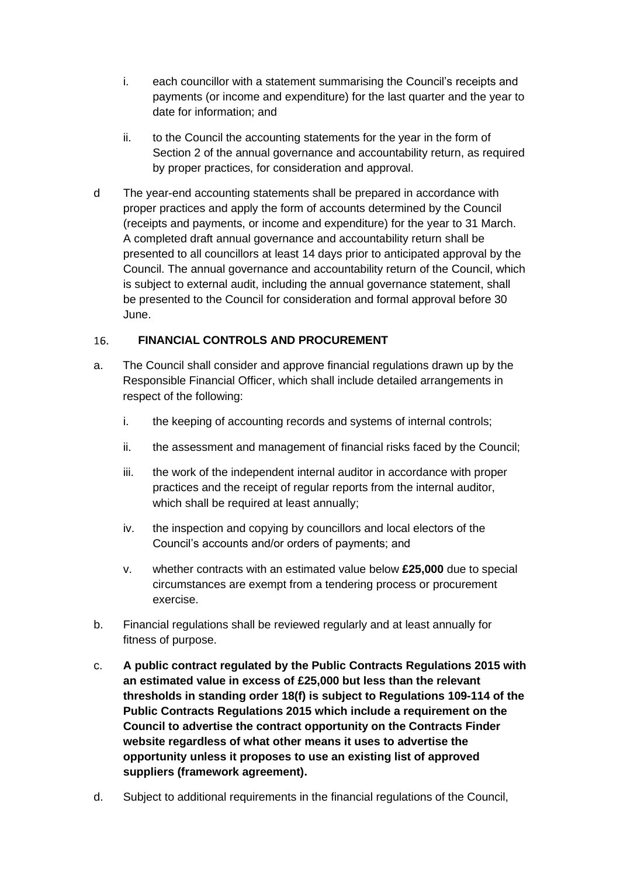- i. each councillor with a statement summarising the Council's receipts and payments (or income and expenditure) for the last quarter and the year to date for information; and
- ii. to the Council the accounting statements for the year in the form of Section 2 of the annual governance and accountability return, as required by proper practices, for consideration and approval.
- d The year-end accounting statements shall be prepared in accordance with proper practices and apply the form of accounts determined by the Council (receipts and payments, or income and expenditure) for the year to 31 March. A completed draft annual governance and accountability return shall be presented to all councillors at least 14 days prior to anticipated approval by the Council. The annual governance and accountability return of the Council, which is subject to external audit, including the annual governance statement, shall be presented to the Council for consideration and formal approval before 30 June.

# $16.$ **FINANCIAL CONTROLS AND PROCUREMENT**

- a. The Council shall consider and approve financial regulations drawn up by the Responsible Financial Officer, which shall include detailed arrangements in respect of the following:
	- i. the keeping of accounting records and systems of internal controls;
	- ii. the assessment and management of financial risks faced by the Council;
	- iii. the work of the independent internal auditor in accordance with proper practices and the receipt of regular reports from the internal auditor, which shall be required at least annually;
	- iv. the inspection and copying by councillors and local electors of the Council's accounts and/or orders of payments; and
	- v. whether contracts with an estimated value below **£25,000** due to special circumstances are exempt from a tendering process or procurement exercise.
- b. Financial regulations shall be reviewed regularly and at least annually for fitness of purpose.
- c. **A public contract regulated by the Public Contracts Regulations 2015 with an estimated value in excess of £25,000 but less than the relevant thresholds in standing order 18(f) is subject to Regulations 109-114 of the Public Contracts Regulations 2015 which include a requirement on the Council to advertise the contract opportunity on the Contracts Finder website regardless of what other means it uses to advertise the opportunity unless it proposes to use an existing list of approved suppliers (framework agreement).**
- d. Subject to additional requirements in the financial regulations of the Council,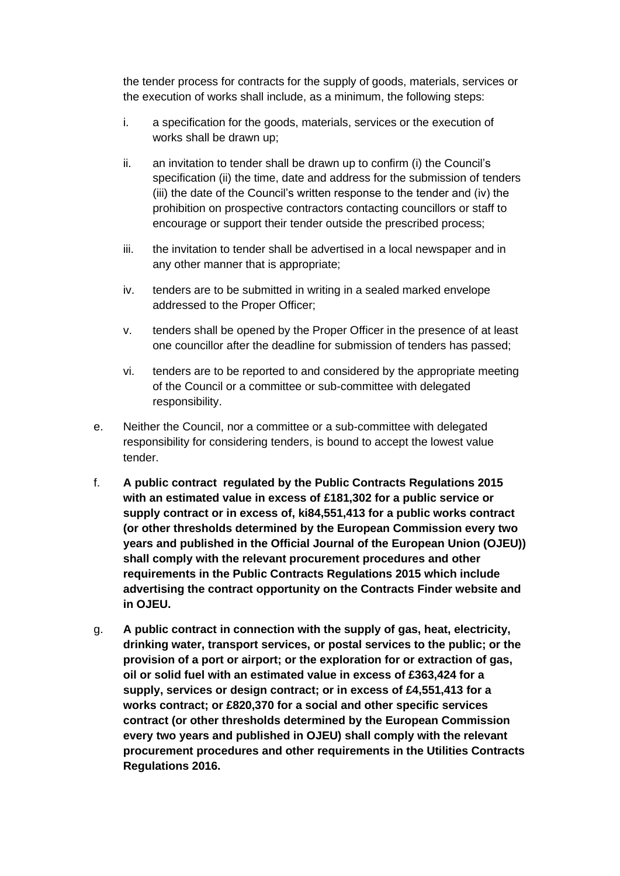the tender process for contracts for the supply of goods, materials, services or the execution of works shall include, as a minimum, the following steps:

- i. a specification for the goods, materials, services or the execution of works shall be drawn up;
- ii. an invitation to tender shall be drawn up to confirm (i) the Council's specification (ii) the time, date and address for the submission of tenders (iii) the date of the Council's written response to the tender and (iv) the prohibition on prospective contractors contacting councillors or staff to encourage or support their tender outside the prescribed process;
- iii. the invitation to tender shall be advertised in a local newspaper and in any other manner that is appropriate;
- iv. tenders are to be submitted in writing in a sealed marked envelope addressed to the Proper Officer;
- v. tenders shall be opened by the Proper Officer in the presence of at least one councillor after the deadline for submission of tenders has passed;
- vi. tenders are to be reported to and considered by the appropriate meeting of the Council or a committee or sub-committee with delegated responsibility.
- e. Neither the Council, nor a committee or a sub-committee with delegated responsibility for considering tenders, is bound to accept the lowest value tender.
- f. **A public contract regulated by the Public Contracts Regulations 2015 with an estimated value in excess of £181,302 for a public service or supply contract or in excess of, ki84,551,413 for a public works contract (or other thresholds determined by the European Commission every two years and published in the Official Journal of the European Union (OJEU)) shall comply with the relevant procurement procedures and other requirements in the Public Contracts Regulations 2015 which include advertising the contract opportunity on the Contracts Finder website and in OJEU.**
- g. **A public contract in connection with the supply of gas, heat, electricity, drinking water, transport services, or postal services to the public; or the provision of a port or airport; or the exploration for or extraction of gas, oil or solid fuel with an estimated value in excess of £363,424 for a supply, services or design contract; or in excess of £4,551,413 for a works contract; or £820,370 for a social and other specific services contract (or other thresholds determined by the European Commission every two years and published in OJEU) shall comply with the relevant procurement procedures and other requirements in the Utilities Contracts Regulations 2016.**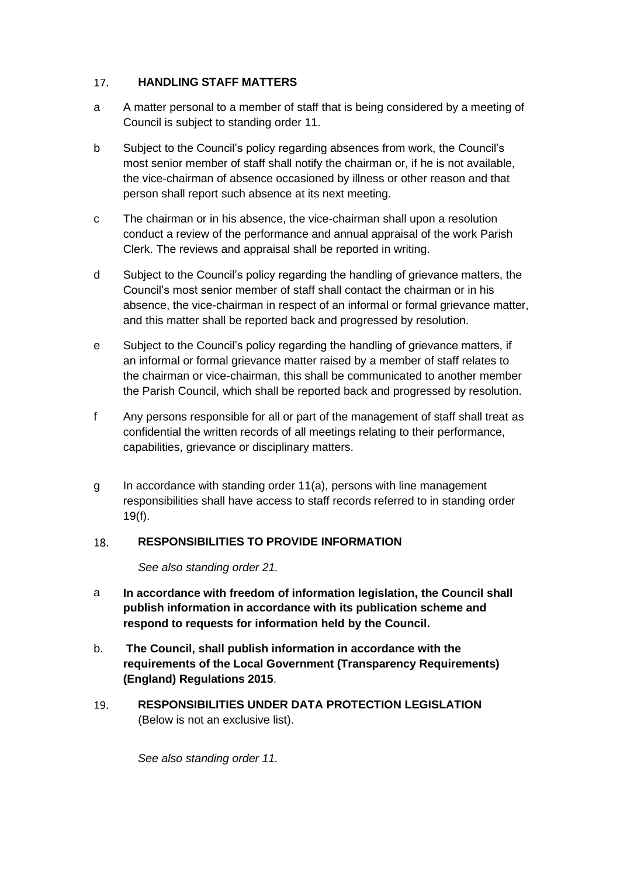#### **HANDLING STAFF MATTERS**  $17.$

- a A matter personal to a member of staff that is being considered by a meeting of Council is subject to standing order 11.
- b Subject to the Council's policy regarding absences from work, the Council's most senior member of staff shall notify the chairman or, if he is not available, the vice-chairman of absence occasioned by illness or other reason and that person shall report such absence at its next meeting.
- c The chairman or in his absence, the vice-chairman shall upon a resolution conduct a review of the performance and annual appraisal of the work Parish Clerk. The reviews and appraisal shall be reported in writing.
- d Subject to the Council's policy regarding the handling of grievance matters, the Council's most senior member of staff shall contact the chairman or in his absence, the vice-chairman in respect of an informal or formal grievance matter, and this matter shall be reported back and progressed by resolution.
- e Subject to the Council's policy regarding the handling of grievance matters, if an informal or formal grievance matter raised by a member of staff relates to the chairman or vice-chairman, this shall be communicated to another member the Parish Council, which shall be reported back and progressed by resolution.
- f Any persons responsible for all or part of the management of staff shall treat as confidential the written records of all meetings relating to their performance, capabilities, grievance or disciplinary matters.
- g In accordance with standing order 11(a), persons with line management responsibilities shall have access to staff records referred to in standing order 19(f).

# 18. **RESPONSIBILITIES TO PROVIDE INFORMATION**

*See also standing order 21.*

- a **In accordance with freedom of information legislation, the Council shall publish information in accordance with its publication scheme and respond to requests for information held by the Council.**
- b. **The Council, shall publish information in accordance with the requirements of the Local Government (Transparency Requirements) (England) Regulations 2015**.
- $19<sub>1</sub>$ **RESPONSIBILITIES UNDER DATA PROTECTION LEGISLATION**  (Below is not an exclusive list).

*See also standing order 11.*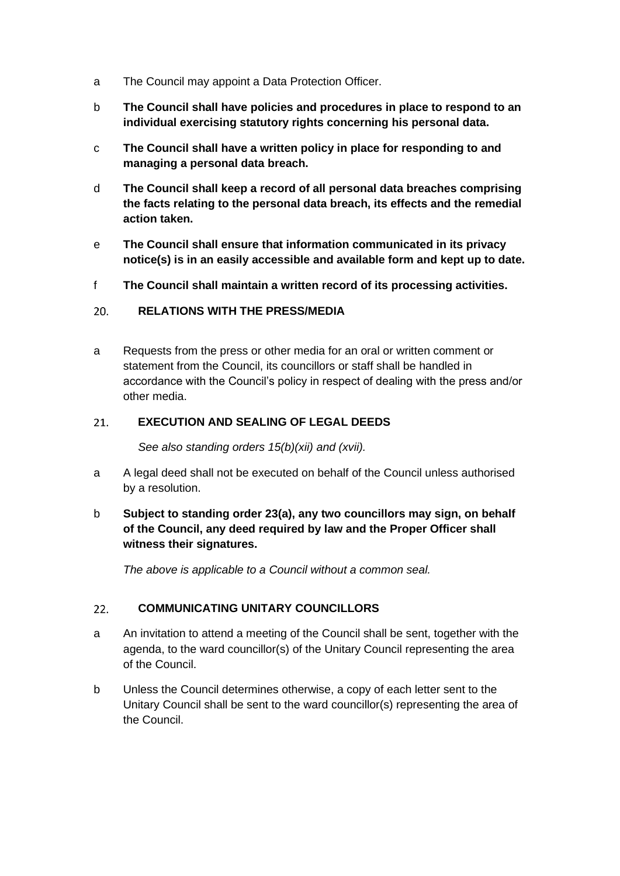- a The Council may appoint a Data Protection Officer.
- b **The Council shall have policies and procedures in place to respond to an individual exercising statutory rights concerning his personal data.**
- c **The Council shall have a written policy in place for responding to and managing a personal data breach.**
- d **The Council shall keep a record of all personal data breaches comprising the facts relating to the personal data breach, its effects and the remedial action taken.**
- e **The Council shall ensure that information communicated in its privacy notice(s) is in an easily accessible and available form and kept up to date.**
- f **The Council shall maintain a written record of its processing activities.**

#### $20<sub>1</sub>$ **RELATIONS WITH THE PRESS/MEDIA**

a Requests from the press or other media for an oral or written comment or statement from the Council, its councillors or staff shall be handled in accordance with the Council's policy in respect of dealing with the press and/or other media.

#### **EXECUTION AND SEALING OF LEGAL DEEDS**   $21.$

*See also standing orders 15(b)(xii) and (xvii).*

- a A legal deed shall not be executed on behalf of the Council unless authorised by a resolution.
- b **Subject to standing order 23(a), any two councillors may sign, on behalf of the Council, any deed required by law and the Proper Officer shall witness their signatures.**

*The above is applicable to a Council without a common seal.*

# **COMMUNICATING UNITARY COUNCILLORS**  $22.$

- a An invitation to attend a meeting of the Council shall be sent, together with the agenda, to the ward councillor(s) of the Unitary Council representing the area of the Council.
- b Unless the Council determines otherwise, a copy of each letter sent to the Unitary Council shall be sent to the ward councillor(s) representing the area of the Council.